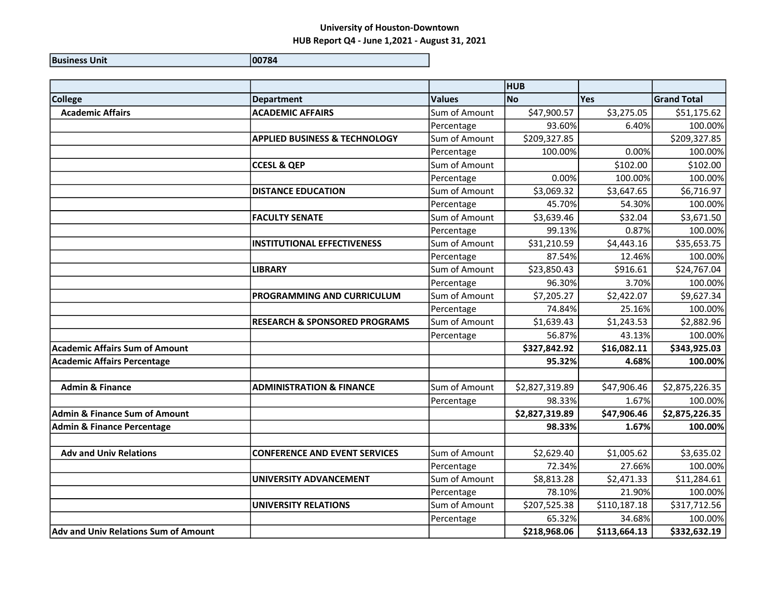|                                             |                                          |               | <b>HUB</b>     |              |                    |
|---------------------------------------------|------------------------------------------|---------------|----------------|--------------|--------------------|
| <b>College</b>                              | Department                               | <b>Values</b> | <b>No</b>      | Yes          | <b>Grand Total</b> |
| <b>Academic Affairs</b>                     | <b>ACADEMIC AFFAIRS</b>                  | Sum of Amount | \$47,900.57    | \$3,275.05   | \$51,175.62        |
|                                             |                                          | Percentage    | 93.60%         | 6.40%        | 100.00%            |
|                                             | <b>APPLIED BUSINESS &amp; TECHNOLOGY</b> | Sum of Amount | \$209,327.85   |              | \$209,327.85       |
|                                             |                                          | Percentage    | 100.00%        | 0.00%        | 100.00%            |
|                                             | <b>CCESL &amp; QEP</b>                   | Sum of Amount |                | \$102.00     | \$102.00           |
|                                             |                                          | Percentage    | 0.00%          | 100.00%      | 100.00%            |
|                                             | <b>DISTANCE EDUCATION</b>                | Sum of Amount | \$3,069.32     | \$3,647.65   | \$6,716.97         |
|                                             |                                          | Percentage    | 45.70%         | 54.30%       | 100.00%            |
|                                             | <b>FACULTY SENATE</b>                    | Sum of Amount | \$3,639.46     | \$32.04      | \$3,671.50         |
|                                             |                                          | Percentage    | 99.13%         | 0.87%        | 100.00%            |
|                                             | <b>INSTITUTIONAL EFFECTIVENESS</b>       | Sum of Amount | \$31,210.59    | \$4,443.16   | \$35,653.75        |
|                                             |                                          | Percentage    | 87.54%         | 12.46%       | 100.00%            |
|                                             | <b>LIBRARY</b>                           | Sum of Amount | \$23,850.43    | \$916.61     | \$24,767.04        |
|                                             |                                          | Percentage    | 96.30%         | 3.70%        | 100.00%            |
|                                             | <b>PROGRAMMING AND CURRICULUM</b>        | Sum of Amount | \$7,205.27     | \$2,422.07   | \$9,627.34         |
|                                             |                                          | Percentage    | 74.84%         | 25.16%       | 100.00%            |
|                                             | <b>RESEARCH &amp; SPONSORED PROGRAMS</b> | Sum of Amount | \$1,639.43     | \$1,243.53   | \$2,882.96         |
|                                             |                                          | Percentage    | 56.87%         | 43.13%       | 100.00%            |
| <b>Academic Affairs Sum of Amount</b>       |                                          |               | \$327,842.92   | \$16,082.11  | \$343,925.03       |
| <b>Academic Affairs Percentage</b>          |                                          |               | 95.32%         | 4.68%        | 100.00%            |
|                                             |                                          |               |                |              |                    |
| <b>Admin &amp; Finance</b>                  | <b>ADMINISTRATION &amp; FINANCE</b>      | Sum of Amount | \$2,827,319.89 | \$47,906.46  | \$2,875,226.35     |
|                                             |                                          | Percentage    | 98.33%         | 1.67%        | 100.00%            |
| <b>Admin &amp; Finance Sum of Amount</b>    |                                          |               | \$2,827,319.89 | \$47,906.46  | \$2,875,226.35     |
| <b>Admin &amp; Finance Percentage</b>       |                                          |               | 98.33%         | 1.67%        | 100.00%            |
|                                             |                                          |               |                |              |                    |
| <b>Adv and Univ Relations</b>               | <b>CONFERENCE AND EVENT SERVICES</b>     | Sum of Amount | \$2,629.40     | \$1,005.62   | \$3,635.02         |
|                                             |                                          | Percentage    | 72.34%         | 27.66%       | 100.00%            |
|                                             | UNIVERSITY ADVANCEMENT                   | Sum of Amount | \$8,813.28     | \$2,471.33   | \$11,284.61        |
|                                             |                                          | Percentage    | 78.10%         | 21.90%       | 100.00%            |
|                                             | <b>UNIVERSITY RELATIONS</b>              | Sum of Amount | \$207,525.38   | \$110,187.18 | \$317,712.56       |
|                                             |                                          | Percentage    | 65.32%         | 34.68%       | 100.00%            |
| <b>Adv and Univ Relations Sum of Amount</b> |                                          |               | \$218,968.06   | \$113,664.13 | \$332,632.19       |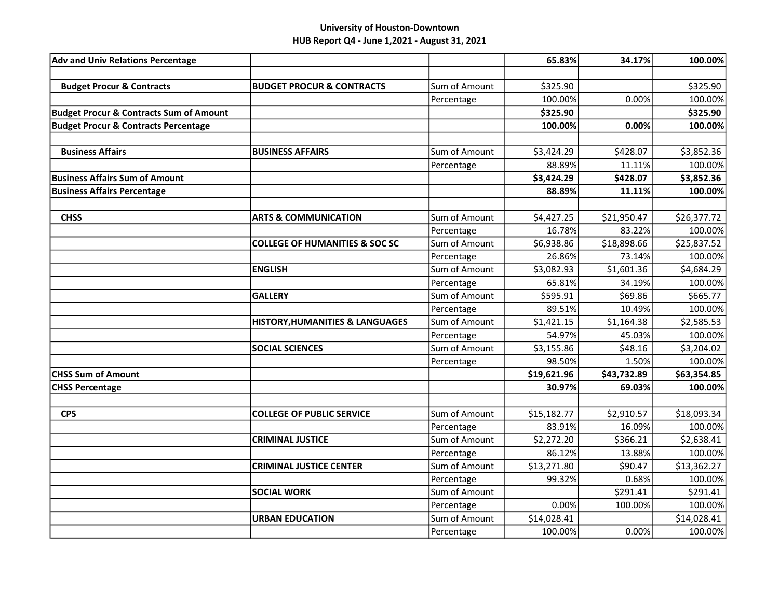| <b>Adv and Univ Relations Percentage</b>           |                                           |               | 65.83%      | 34.17%      | 100.00%     |
|----------------------------------------------------|-------------------------------------------|---------------|-------------|-------------|-------------|
|                                                    |                                           |               |             |             |             |
| <b>Budget Procur &amp; Contracts</b>               | <b>BUDGET PROCUR &amp; CONTRACTS</b>      | Sum of Amount | \$325.90    |             | \$325.90    |
|                                                    |                                           | Percentage    | 100.00%     | 0.00%       | 100.00%     |
| <b>Budget Procur &amp; Contracts Sum of Amount</b> |                                           |               | \$325.90    |             | \$325.90    |
| <b>Budget Procur &amp; Contracts Percentage</b>    |                                           |               | 100.00%     | 0.00%       | 100.00%     |
|                                                    |                                           |               |             |             |             |
| <b>Business Affairs</b>                            | <b>BUSINESS AFFAIRS</b>                   | Sum of Amount | \$3,424.29  | \$428.07    | \$3,852.36  |
|                                                    |                                           | Percentage    | 88.89%      | 11.11%      | 100.00%     |
| <b>Business Affairs Sum of Amount</b>              |                                           |               | \$3,424.29  | \$428.07    | \$3,852.36  |
| <b>Business Affairs Percentage</b>                 |                                           |               | 88.89%      | 11.11%      | 100.00%     |
|                                                    |                                           |               |             |             |             |
| <b>CHSS</b>                                        | <b>ARTS &amp; COMMUNICATION</b>           | Sum of Amount | \$4,427.25  | \$21,950.47 | \$26,377.72 |
|                                                    |                                           | Percentage    | 16.78%      | 83.22%      | 100.00%     |
|                                                    | <b>COLLEGE OF HUMANITIES &amp; SOC SC</b> | Sum of Amount | \$6,938.86  | \$18,898.66 | \$25,837.52 |
|                                                    |                                           | Percentage    | 26.86%      | 73.14%      | 100.00%     |
|                                                    | <b>ENGLISH</b>                            | Sum of Amount | \$3,082.93  | \$1,601.36  | \$4,684.29  |
|                                                    |                                           | Percentage    | 65.81%      | 34.19%      | 100.00%     |
|                                                    | <b>GALLERY</b>                            | Sum of Amount | \$595.91    | \$69.86     | \$665.77    |
|                                                    |                                           | Percentage    | 89.51%      | 10.49%      | 100.00%     |
|                                                    | HISTORY, HUMANITIES & LANGUAGES           | Sum of Amount | \$1,421.15  | \$1,164.38  | \$2,585.53  |
|                                                    |                                           | Percentage    | 54.97%      | 45.03%      | 100.00%     |
|                                                    | <b>SOCIAL SCIENCES</b>                    | Sum of Amount | \$3,155.86  | \$48.16     | \$3,204.02  |
|                                                    |                                           | Percentage    | 98.50%      | 1.50%       | 100.00%     |
| <b>CHSS Sum of Amount</b>                          |                                           |               | \$19,621.96 | \$43,732.89 | \$63,354.85 |
| <b>CHSS Percentage</b>                             |                                           |               | 30.97%      | 69.03%      | 100.00%     |
|                                                    |                                           |               |             |             |             |
| <b>CPS</b>                                         | <b>COLLEGE OF PUBLIC SERVICE</b>          | Sum of Amount | \$15,182.77 | \$2,910.57  | \$18,093.34 |
|                                                    |                                           | Percentage    | 83.91%      | 16.09%      | 100.00%     |
|                                                    | <b>CRIMINAL JUSTICE</b>                   | Sum of Amount | \$2,272.20  | \$366.21    | \$2,638.41  |
|                                                    |                                           | Percentage    | 86.12%      | 13.88%      | 100.00%     |
|                                                    | <b>CRIMINAL JUSTICE CENTER</b>            | Sum of Amount | \$13,271.80 | \$90.47     | \$13,362.27 |
|                                                    |                                           | Percentage    | 99.32%      | 0.68%       | 100.00%     |
|                                                    | <b>SOCIAL WORK</b>                        | Sum of Amount |             | \$291.41    | \$291.41    |
|                                                    |                                           | Percentage    | 0.00%       | 100.00%     | 100.00%     |
|                                                    | <b>URBAN EDUCATION</b>                    | Sum of Amount | \$14,028.41 |             | \$14,028.41 |
|                                                    |                                           | Percentage    | 100.00%     | 0.00%       | 100.00%     |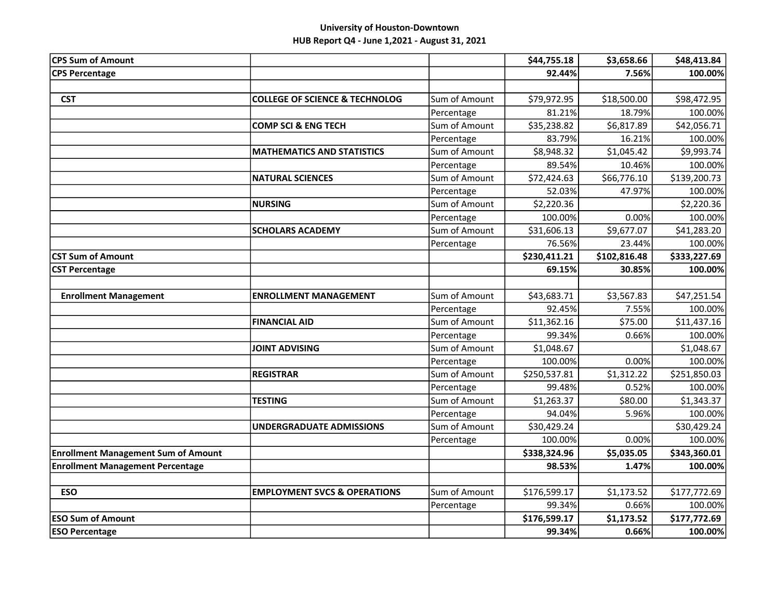| <b>CPS Sum of Amount</b>                   |                                           |               | \$44,755.18  | \$3,658.66   | \$48,413.84  |
|--------------------------------------------|-------------------------------------------|---------------|--------------|--------------|--------------|
| <b>CPS Percentage</b>                      |                                           |               | 92.44%       | 7.56%        | 100.00%      |
|                                            |                                           |               |              |              |              |
| <b>CST</b>                                 | <b>COLLEGE OF SCIENCE &amp; TECHNOLOG</b> | Sum of Amount | \$79,972.95  | \$18,500.00  | \$98,472.95  |
|                                            |                                           | Percentage    | 81.21%       | 18.79%       | 100.00%      |
|                                            | <b>COMP SCI &amp; ENG TECH</b>            | Sum of Amount | \$35,238.82  | \$6,817.89   | \$42,056.71  |
|                                            |                                           | Percentage    | 83.79%       | 16.21%       | 100.00%      |
|                                            | <b>MATHEMATICS AND STATISTICS</b>         | Sum of Amount | \$8,948.32   | \$1,045.42   | \$9,993.74   |
|                                            |                                           | Percentage    | 89.54%       | 10.46%       | 100.00%      |
|                                            | <b>NATURAL SCIENCES</b>                   | Sum of Amount | \$72,424.63  | \$66,776.10  | \$139,200.73 |
|                                            |                                           | Percentage    | 52.03%       | 47.97%       | 100.00%      |
|                                            | <b>NURSING</b>                            | Sum of Amount | \$2,220.36   |              | \$2,220.36   |
|                                            |                                           | Percentage    | 100.00%      | 0.00%        | 100.00%      |
|                                            | <b>SCHOLARS ACADEMY</b>                   | Sum of Amount | \$31,606.13  | \$9,677.07   | \$41,283.20  |
|                                            |                                           | Percentage    | 76.56%       | 23.44%       | 100.00%      |
| <b>CST Sum of Amount</b>                   |                                           |               | \$230,411.21 | \$102,816.48 | \$333,227.69 |
| <b>CST Percentage</b>                      |                                           |               | 69.15%       | 30.85%       | 100.00%      |
|                                            |                                           |               |              |              |              |
| <b>Enrollment Management</b>               | <b>ENROLLMENT MANAGEMENT</b>              | Sum of Amount | \$43,683.71  | \$3,567.83   | \$47,251.54  |
|                                            |                                           | Percentage    | 92.45%       | 7.55%        | 100.00%      |
|                                            | <b>FINANCIAL AID</b>                      | Sum of Amount | \$11,362.16  | \$75.00      | \$11,437.16  |
|                                            |                                           | Percentage    | 99.34%       | 0.66%        | 100.00%      |
|                                            | <b>JOINT ADVISING</b>                     | Sum of Amount | \$1,048.67   |              | \$1,048.67   |
|                                            |                                           | Percentage    | 100.00%      | 0.00%        | 100.00%      |
|                                            | <b>REGISTRAR</b>                          | Sum of Amount | \$250,537.81 | \$1,312.22   | \$251,850.03 |
|                                            |                                           | Percentage    | 99.48%       | 0.52%        | 100.00%      |
|                                            | <b>TESTING</b>                            | Sum of Amount | \$1,263.37   | \$80.00      | \$1,343.37   |
|                                            |                                           | Percentage    | 94.04%       | 5.96%        | 100.00%      |
|                                            | <b>UNDERGRADUATE ADMISSIONS</b>           | Sum of Amount | \$30,429.24  |              | \$30,429.24  |
|                                            |                                           | Percentage    | 100.00%      | 0.00%        | 100.00%      |
| <b>Enrollment Management Sum of Amount</b> |                                           |               | \$338,324.96 | \$5,035.05   | \$343,360.01 |
| <b>Enrollment Management Percentage</b>    |                                           |               | 98.53%       | 1.47%        | 100.00%      |
|                                            |                                           |               |              |              |              |
| <b>ESO</b>                                 | <b>EMPLOYMENT SVCS &amp; OPERATIONS</b>   | Sum of Amount | \$176,599.17 | \$1,173.52   | \$177,772.69 |
|                                            |                                           | Percentage    | 99.34%       | 0.66%        | 100.00%      |
| <b>ESO Sum of Amount</b>                   |                                           |               | \$176,599.17 | \$1,173.52   | \$177,772.69 |
| <b>ESO Percentage</b>                      |                                           |               | 99.34%       | 0.66%        | 100.00%      |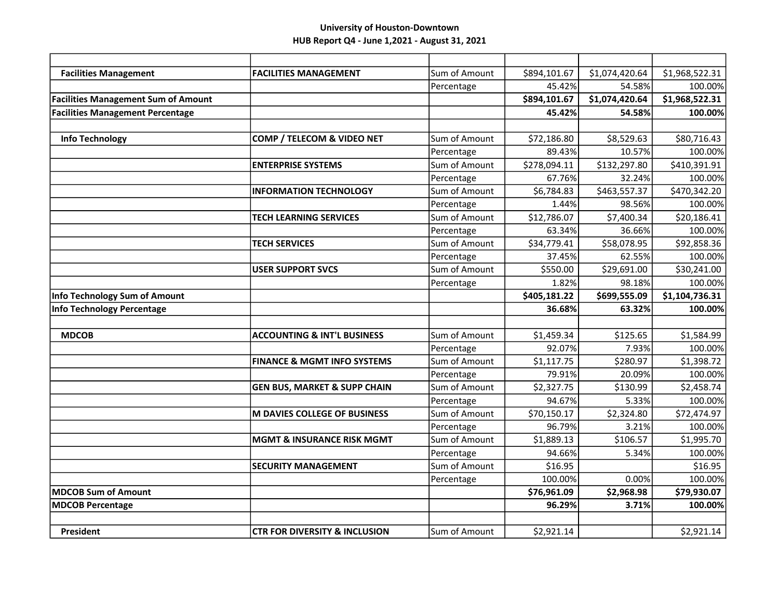| <b>Facilities Management</b>               | <b>FACILITIES MANAGEMENT</b>             | Sum of Amount | \$894,101.67 | \$1,074,420.64 | \$1,968,522.31 |
|--------------------------------------------|------------------------------------------|---------------|--------------|----------------|----------------|
|                                            |                                          | Percentage    | 45.42%       | 54.58%         | 100.00%        |
| <b>Facilities Management Sum of Amount</b> |                                          |               | \$894,101.67 | \$1,074,420.64 | \$1,968,522.31 |
| <b>Facilities Management Percentage</b>    |                                          |               | 45.42%       | 54.58%         | 100.00%        |
|                                            |                                          |               |              |                |                |
| <b>Info Technology</b>                     | COMP / TELECOM & VIDEO NET               | Sum of Amount | \$72,186.80  | \$8,529.63     | \$80,716.43    |
|                                            |                                          | Percentage    | 89.43%       | 10.57%         | 100.00%        |
|                                            | <b>ENTERPRISE SYSTEMS</b>                | Sum of Amount | \$278,094.11 | \$132,297.80   | \$410,391.91   |
|                                            |                                          | Percentage    | 67.76%       | 32.24%         | 100.00%        |
|                                            | <b>INFORMATION TECHNOLOGY</b>            | Sum of Amount | \$6,784.83   | \$463,557.37   | \$470,342.20   |
|                                            |                                          | Percentage    | 1.44%        | 98.56%         | 100.00%        |
|                                            | <b>TECH LEARNING SERVICES</b>            | Sum of Amount | \$12,786.07  | \$7,400.34     | \$20,186.41    |
|                                            |                                          | Percentage    | 63.34%       | 36.66%         | 100.00%        |
|                                            | <b>TECH SERVICES</b>                     | Sum of Amount | \$34,779.41  | \$58,078.95    | \$92,858.36    |
|                                            |                                          | Percentage    | 37.45%       | 62.55%         | 100.00%        |
|                                            | <b>USER SUPPORT SVCS</b>                 | Sum of Amount | \$550.00     | \$29,691.00    | \$30,241.00    |
|                                            |                                          | Percentage    | 1.82%        | 98.18%         | 100.00%        |
| Info Technology Sum of Amount              |                                          |               | \$405,181.22 | \$699,555.09   | \$1,104,736.31 |
| <b>Info Technology Percentage</b>          |                                          |               | 36.68%       | 63.32%         | 100.00%        |
|                                            |                                          |               |              |                |                |
| <b>MDCOB</b>                               | <b>ACCOUNTING &amp; INT'L BUSINESS</b>   | Sum of Amount | \$1,459.34   | \$125.65       | \$1,584.99     |
|                                            |                                          | Percentage    | 92.07%       | 7.93%          | 100.00%        |
|                                            | <b>FINANCE &amp; MGMT INFO SYSTEMS</b>   | Sum of Amount | \$1,117.75   | \$280.97       | \$1,398.72     |
|                                            |                                          | Percentage    | 79.91%       | 20.09%         | 100.00%        |
|                                            | <b>GEN BUS, MARKET &amp; SUPP CHAIN</b>  | Sum of Amount | \$2,327.75   | \$130.99       | \$2,458.74     |
|                                            |                                          | Percentage    | 94.67%       | 5.33%          | 100.00%        |
|                                            | <b>M DAVIES COLLEGE OF BUSINESS</b>      | Sum of Amount | \$70,150.17  | \$2,324.80     | \$72,474.97    |
|                                            |                                          | Percentage    | 96.79%       | 3.21%          | 100.00%        |
|                                            | <b>MGMT &amp; INSURANCE RISK MGMT</b>    | Sum of Amount | \$1,889.13   | \$106.57       | \$1,995.70     |
|                                            |                                          | Percentage    | 94.66%       | 5.34%          | 100.00%        |
|                                            | <b>SECURITY MANAGEMENT</b>               | Sum of Amount | \$16.95      |                | \$16.95        |
|                                            |                                          |               |              |                | 100.00%        |
|                                            |                                          | Percentage    | 100.00%      | 0.00%          |                |
| <b>MDCOB Sum of Amount</b>                 |                                          |               | \$76,961.09  | \$2,968.98     | \$79,930.07    |
| <b>MDCOB Percentage</b>                    |                                          |               | 96.29%       | 3.71%          | 100.00%        |
| <b>President</b>                           | <b>CTR FOR DIVERSITY &amp; INCLUSION</b> | Sum of Amount | \$2,921.14   |                | \$2,921.14     |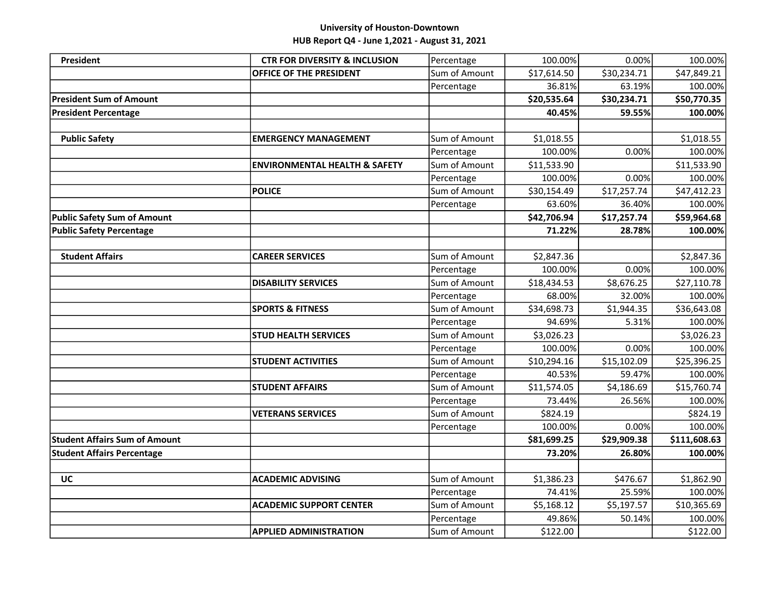# University of Houston-Downtown

HUB Report Q4 - June 1,2021 - August 31, 2021

| <b>President</b>                     | <b>CTR FOR DIVERSITY &amp; INCLUSION</b> | Percentage    | 100.00%     | 0.00%       | 100.00%      |
|--------------------------------------|------------------------------------------|---------------|-------------|-------------|--------------|
|                                      | OFFICE OF THE PRESIDENT                  | Sum of Amount | \$17,614.50 | \$30,234.71 | \$47,849.21  |
|                                      |                                          | Percentage    | 36.81%      | 63.19%      | 100.00%      |
| <b>President Sum of Amount</b>       |                                          |               | \$20,535.64 | \$30,234.71 | \$50,770.35  |
| <b>President Percentage</b>          |                                          |               | 40.45%      | 59.55%      | 100.00%      |
|                                      |                                          |               |             |             |              |
| <b>Public Safety</b>                 | <b>EMERGENCY MANAGEMENT</b>              | Sum of Amount | \$1,018.55  |             | \$1,018.55   |
|                                      |                                          | Percentage    | 100.00%     | 0.00%       | 100.00%      |
|                                      | <b>ENVIRONMENTAL HEALTH &amp; SAFETY</b> | Sum of Amount | \$11,533.90 |             | \$11,533.90  |
|                                      |                                          | Percentage    | 100.00%     | 0.00%       | 100.00%      |
|                                      | <b>POLICE</b>                            | Sum of Amount | \$30,154.49 | \$17,257.74 | \$47,412.23  |
|                                      |                                          | Percentage    | 63.60%      | 36.40%      | 100.00%      |
| <b>Public Safety Sum of Amount</b>   |                                          |               | \$42,706.94 | \$17,257.74 | \$59,964.68  |
| <b>Public Safety Percentage</b>      |                                          |               | 71.22%      | 28.78%      | 100.00%      |
|                                      |                                          |               |             |             |              |
| <b>Student Affairs</b>               | <b>CAREER SERVICES</b>                   | Sum of Amount | \$2,847.36  |             | \$2,847.36   |
|                                      |                                          | Percentage    | 100.00%     | 0.00%       | 100.00%      |
|                                      | <b>DISABILITY SERVICES</b>               | Sum of Amount | \$18,434.53 | \$8,676.25  | \$27,110.78  |
|                                      |                                          | Percentage    | 68.00%      | 32.00%      | 100.00%      |
|                                      | <b>SPORTS &amp; FITNESS</b>              | Sum of Amount | \$34,698.73 | \$1,944.35  | \$36,643.08  |
|                                      |                                          | Percentage    | 94.69%      | 5.31%       | 100.00%      |
|                                      | <b>STUD HEALTH SERVICES</b>              | Sum of Amount | \$3,026.23  |             | \$3,026.23   |
|                                      |                                          | Percentage    | 100.00%     | 0.00%       | 100.00%      |
|                                      | <b>STUDENT ACTIVITIES</b>                | Sum of Amount | \$10,294.16 | \$15,102.09 | \$25,396.25  |
|                                      |                                          | Percentage    | 40.53%      | 59.47%      | 100.00%      |
|                                      | <b>STUDENT AFFAIRS</b>                   | Sum of Amount | \$11,574.05 | \$4,186.69  | \$15,760.74  |
|                                      |                                          | Percentage    | 73.44%      | 26.56%      | 100.00%      |
|                                      | <b>VETERANS SERVICES</b>                 | Sum of Amount | \$824.19    |             | \$824.19     |
|                                      |                                          | Percentage    | 100.00%     | 0.00%       | 100.00%      |
| <b>Student Affairs Sum of Amount</b> |                                          |               | \$81,699.25 | \$29,909.38 | \$111,608.63 |
| <b>Student Affairs Percentage</b>    |                                          |               | 73.20%      | 26.80%      | 100.00%      |
|                                      |                                          |               |             |             |              |
| <b>UC</b>                            | <b>ACADEMIC ADVISING</b>                 | Sum of Amount | \$1,386.23  | \$476.67    | \$1,862.90   |
|                                      |                                          | Percentage    | 74.41%      | 25.59%      | 100.00%      |
|                                      | <b>ACADEMIC SUPPORT CENTER</b>           | Sum of Amount | \$5,168.12  | \$5,197.57  | \$10,365.69  |
|                                      |                                          | Percentage    | 49.86%      | 50.14%      | 100.00%      |
|                                      | <b>APPLIED ADMINISTRATION</b>            | Sum of Amount | \$122.00    |             | \$122.00     |